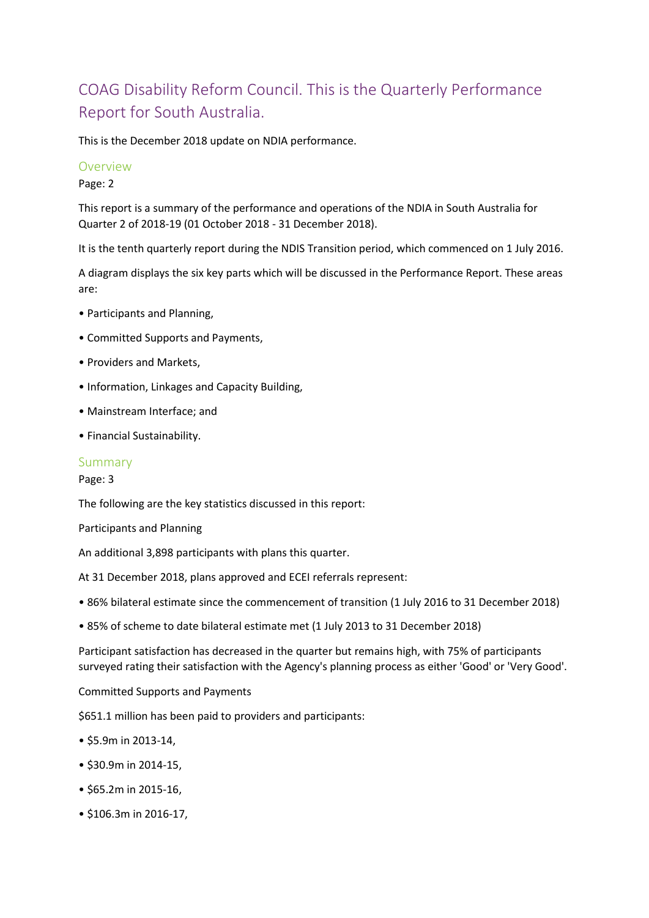# COAG Disability Reform Council. This is the Quarterly Performance Report for South Australia.

This is the December 2018 update on NDIA performance.

#### Overview

Page: 2

This report is a summary of the performance and operations of the NDIA in South Australia for Quarter 2 of 2018-19 (01 October 2018 - 31 December 2018).

It is the tenth quarterly report during the NDIS Transition period, which commenced on 1 July 2016.

A diagram displays the six key parts which will be discussed in the Performance Report. These areas are:

- Participants and Planning,
- Committed Supports and Payments,
- Providers and Markets,
- Information, Linkages and Capacity Building,
- Mainstream Interface; and
- Financial Sustainability.

#### Summary

Page: 3

The following are the key statistics discussed in this report:

Participants and Planning

An additional 3,898 participants with plans this quarter.

At 31 December 2018, plans approved and ECEI referrals represent:

- 86% bilateral estimate since the commencement of transition (1 July 2016 to 31 December 2018)
- 85% of scheme to date bilateral estimate met (1 July 2013 to 31 December 2018)

Participant satisfaction has decreased in the quarter but remains high, with 75% of participants surveyed rating their satisfaction with the Agency's planning process as either 'Good' or 'Very Good'.

Committed Supports and Payments

\$651.1 million has been paid to providers and participants:

- \$5.9m in 2013-14,
- \$30.9m in 2014-15,
- \$65.2m in 2015-16,
- \$106.3m in 2016-17,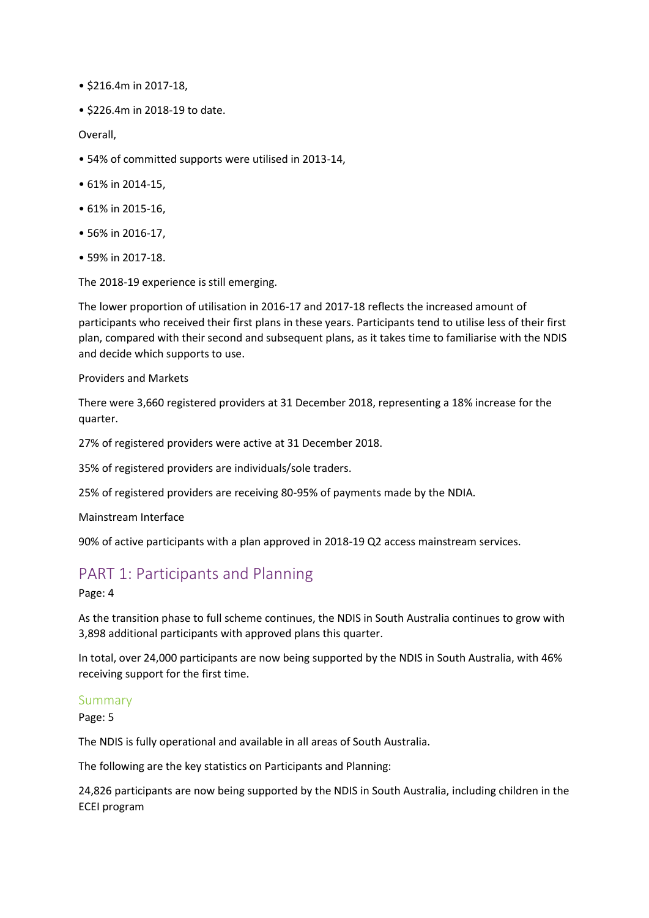- \$216.4m in 2017-18,
- \$226.4m in 2018-19 to date.

Overall,

- 54% of committed supports were utilised in 2013-14,
- 61% in 2014-15,
- 61% in 2015-16,
- 56% in 2016-17,
- 59% in 2017-18.

The 2018-19 experience is still emerging.

The lower proportion of utilisation in 2016-17 and 2017-18 reflects the increased amount of participants who received their first plans in these years. Participants tend to utilise less of their first plan, compared with their second and subsequent plans, as it takes time to familiarise with the NDIS and decide which supports to use.

Providers and Markets

There were 3,660 registered providers at 31 December 2018, representing a 18% increase for the quarter.

27% of registered providers were active at 31 December 2018.

35% of registered providers are individuals/sole traders.

25% of registered providers are receiving 80-95% of payments made by the NDIA.

Mainstream Interface

90% of active participants with a plan approved in 2018-19 Q2 access mainstream services.

# PART 1: Participants and Planning

#### Page: 4

As the transition phase to full scheme continues, the NDIS in South Australia continues to grow with 3,898 additional participants with approved plans this quarter.

In total, over 24,000 participants are now being supported by the NDIS in South Australia, with 46% receiving support for the first time.

#### Summary

Page: 5

The NDIS is fully operational and available in all areas of South Australia.

The following are the key statistics on Participants and Planning:

24,826 participants are now being supported by the NDIS in South Australia, including children in the ECEI program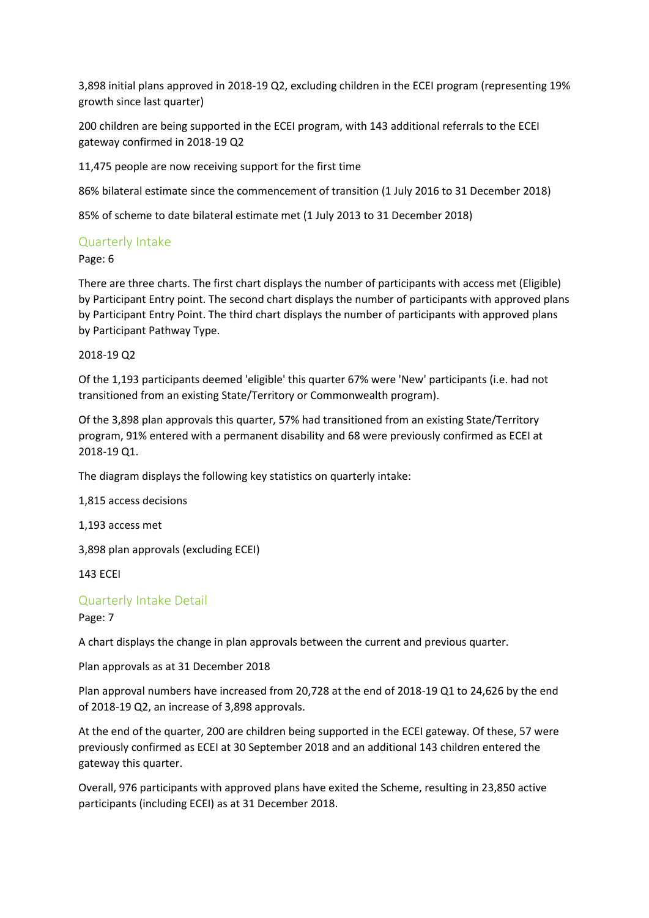3,898 initial plans approved in 2018-19 Q2, excluding children in the ECEI program (representing 19% growth since last quarter)

200 children are being supported in the ECEI program, with 143 additional referrals to the ECEI gateway confirmed in 2018-19 Q2

11,475 people are now receiving support for the first time

86% bilateral estimate since the commencement of transition (1 July 2016 to 31 December 2018)

85% of scheme to date bilateral estimate met (1 July 2013 to 31 December 2018)

### Quarterly Intake

Page: 6

There are three charts. The first chart displays the number of participants with access met (Eligible) by Participant Entry point. The second chart displays the number of participants with approved plans by Participant Entry Point. The third chart displays the number of participants with approved plans by Participant Pathway Type.

2018-19 Q2

Of the 1,193 participants deemed 'eligible' this quarter 67% were 'New' participants (i.e. had not transitioned from an existing State/Territory or Commonwealth program).

Of the 3,898 plan approvals this quarter, 57% had transitioned from an existing State/Territory program, 91% entered with a permanent disability and 68 were previously confirmed as ECEI at 2018-19 Q1.

The diagram displays the following key statistics on quarterly intake:

1,815 access decisions

1,193 access met

3,898 plan approvals (excluding ECEI)

143 ECEI

#### Quarterly Intake Detail

Page: 7

A chart displays the change in plan approvals between the current and previous quarter.

Plan approvals as at 31 December 2018

Plan approval numbers have increased from 20,728 at the end of 2018-19 Q1 to 24,626 by the end of 2018-19 Q2, an increase of 3,898 approvals.

At the end of the quarter, 200 are children being supported in the ECEI gateway. Of these, 57 were previously confirmed as ECEI at 30 September 2018 and an additional 143 children entered the gateway this quarter.

Overall, 976 participants with approved plans have exited the Scheme, resulting in 23,850 active participants (including ECEI) as at 31 December 2018.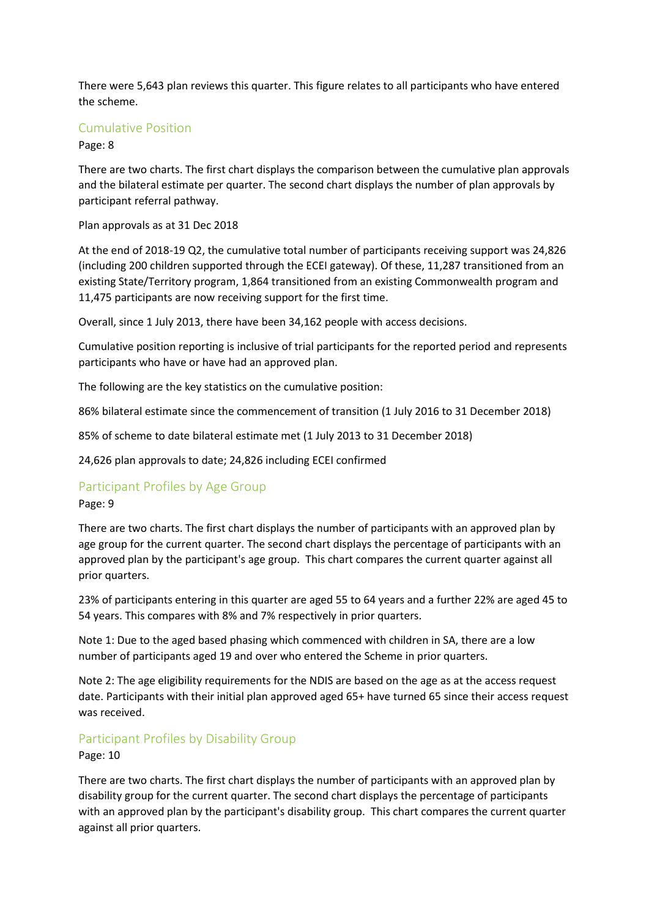There were 5,643 plan reviews this quarter. This figure relates to all participants who have entered the scheme.

### Cumulative Position

Page: 8

There are two charts. The first chart displays the comparison between the cumulative plan approvals and the bilateral estimate per quarter. The second chart displays the number of plan approvals by participant referral pathway.

Plan approvals as at 31 Dec 2018

At the end of 2018-19 Q2, the cumulative total number of participants receiving support was 24,826 (including 200 children supported through the ECEI gateway). Of these, 11,287 transitioned from an existing State/Territory program, 1,864 transitioned from an existing Commonwealth program and 11,475 participants are now receiving support for the first time.

Overall, since 1 July 2013, there have been 34,162 people with access decisions.

Cumulative position reporting is inclusive of trial participants for the reported period and represents participants who have or have had an approved plan.

The following are the key statistics on the cumulative position:

86% bilateral estimate since the commencement of transition (1 July 2016 to 31 December 2018)

85% of scheme to date bilateral estimate met (1 July 2013 to 31 December 2018)

24,626 plan approvals to date; 24,826 including ECEI confirmed

## Participant Profiles by Age Group

#### Page: 9

There are two charts. The first chart displays the number of participants with an approved plan by age group for the current quarter. The second chart displays the percentage of participants with an approved plan by the participant's age group. This chart compares the current quarter against all prior quarters.

23% of participants entering in this quarter are aged 55 to 64 years and a further 22% are aged 45 to 54 years. This compares with 8% and 7% respectively in prior quarters.

Note 1: Due to the aged based phasing which commenced with children in SA, there are a low number of participants aged 19 and over who entered the Scheme in prior quarters.

Note 2: The age eligibility requirements for the NDIS are based on the age as at the access request date. Participants with their initial plan approved aged 65+ have turned 65 since their access request was received.

## Participant Profiles by Disability Group

Page: 10

There are two charts. The first chart displays the number of participants with an approved plan by disability group for the current quarter. The second chart displays the percentage of participants with an approved plan by the participant's disability group. This chart compares the current quarter against all prior quarters.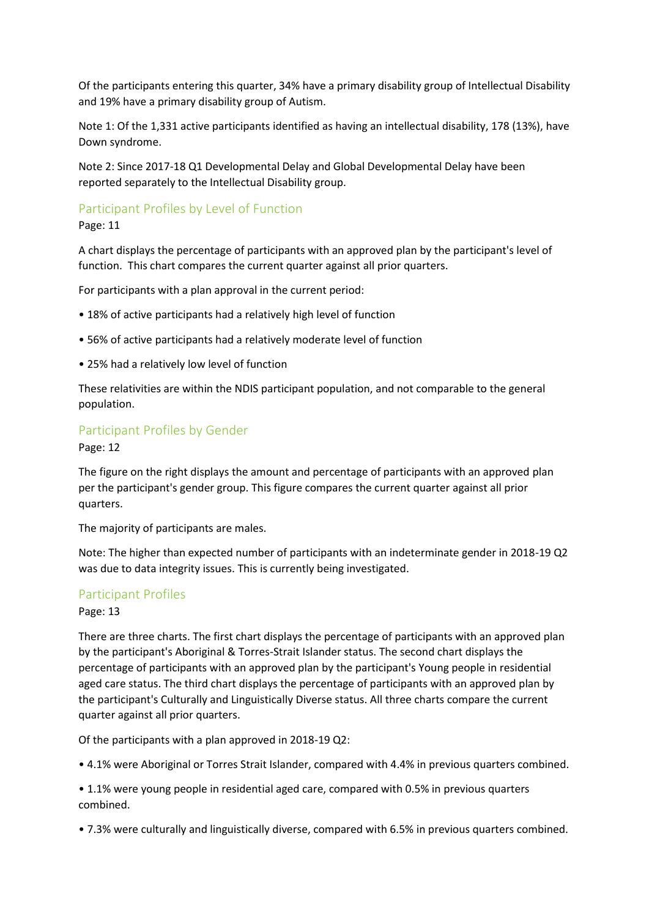Of the participants entering this quarter, 34% have a primary disability group of Intellectual Disability and 19% have a primary disability group of Autism.

Note 1: Of the 1,331 active participants identified as having an intellectual disability, 178 (13%), have Down syndrome.

Note 2: Since 2017-18 Q1 Developmental Delay and Global Developmental Delay have been reported separately to the Intellectual Disability group.

## Participant Profiles by Level of Function

#### Page: 11

A chart displays the percentage of participants with an approved plan by the participant's level of function. This chart compares the current quarter against all prior quarters.

For participants with a plan approval in the current period:

- 18% of active participants had a relatively high level of function
- 56% of active participants had a relatively moderate level of function
- 25% had a relatively low level of function

These relativities are within the NDIS participant population, and not comparable to the general population.

## Participant Profiles by Gender

Page: 12

The figure on the right displays the amount and percentage of participants with an approved plan per the participant's gender group. This figure compares the current quarter against all prior quarters.

The majority of participants are males.

Note: The higher than expected number of participants with an indeterminate gender in 2018-19 Q2 was due to data integrity issues. This is currently being investigated.

#### Participant Profiles

#### Page: 13

There are three charts. The first chart displays the percentage of participants with an approved plan by the participant's Aboriginal & Torres-Strait Islander status. The second chart displays the percentage of participants with an approved plan by the participant's Young people in residential aged care status. The third chart displays the percentage of participants with an approved plan by the participant's Culturally and Linguistically Diverse status. All three charts compare the current quarter against all prior quarters.

Of the participants with a plan approved in 2018-19 Q2:

• 4.1% were Aboriginal or Torres Strait Islander, compared with 4.4% in previous quarters combined.

• 1.1% were young people in residential aged care, compared with 0.5% in previous quarters combined.

• 7.3% were culturally and linguistically diverse, compared with 6.5% in previous quarters combined.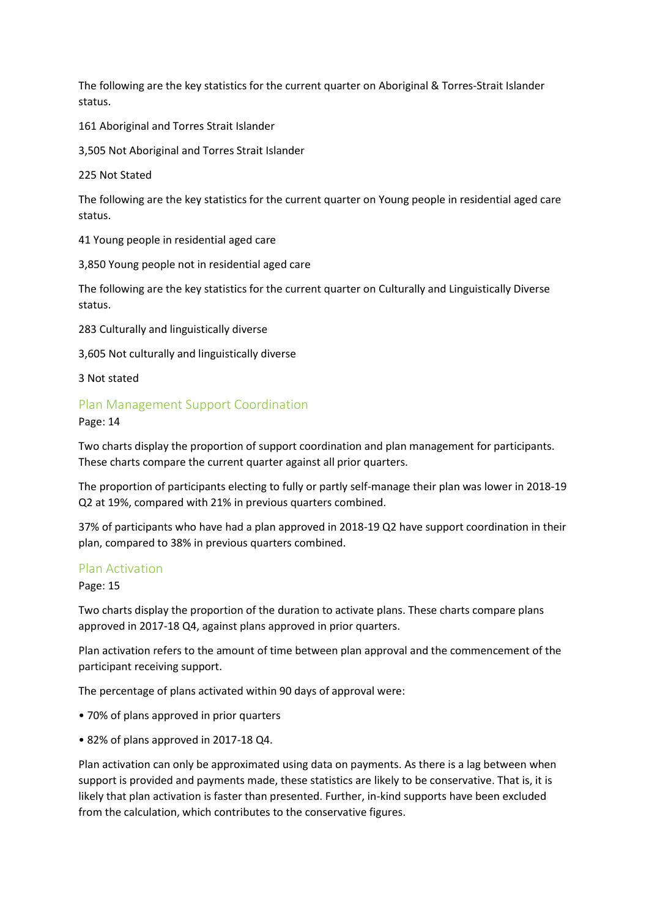The following are the key statistics for the current quarter on Aboriginal & Torres-Strait Islander status.

161 Aboriginal and Torres Strait Islander

3,505 Not Aboriginal and Torres Strait Islander

225 Not Stated

The following are the key statistics for the current quarter on Young people in residential aged care status.

41 Young people in residential aged care

3,850 Young people not in residential aged care

The following are the key statistics for the current quarter on Culturally and Linguistically Diverse status.

283 Culturally and linguistically diverse

3,605 Not culturally and linguistically diverse

3 Not stated

#### Plan Management Support Coordination

Page: 14

Two charts display the proportion of support coordination and plan management for participants. These charts compare the current quarter against all prior quarters.

The proportion of participants electing to fully or partly self-manage their plan was lower in 2018-19 Q2 at 19%, compared with 21% in previous quarters combined.

37% of participants who have had a plan approved in 2018-19 Q2 have support coordination in their plan, compared to 38% in previous quarters combined.

#### Plan Activation

Page: 15

Two charts display the proportion of the duration to activate plans. These charts compare plans approved in 2017-18 Q4, against plans approved in prior quarters.

Plan activation refers to the amount of time between plan approval and the commencement of the participant receiving support.

The percentage of plans activated within 90 days of approval were:

- 70% of plans approved in prior quarters
- 82% of plans approved in 2017-18 Q4.

Plan activation can only be approximated using data on payments. As there is a lag between when support is provided and payments made, these statistics are likely to be conservative. That is, it is likely that plan activation is faster than presented. Further, in-kind supports have been excluded from the calculation, which contributes to the conservative figures.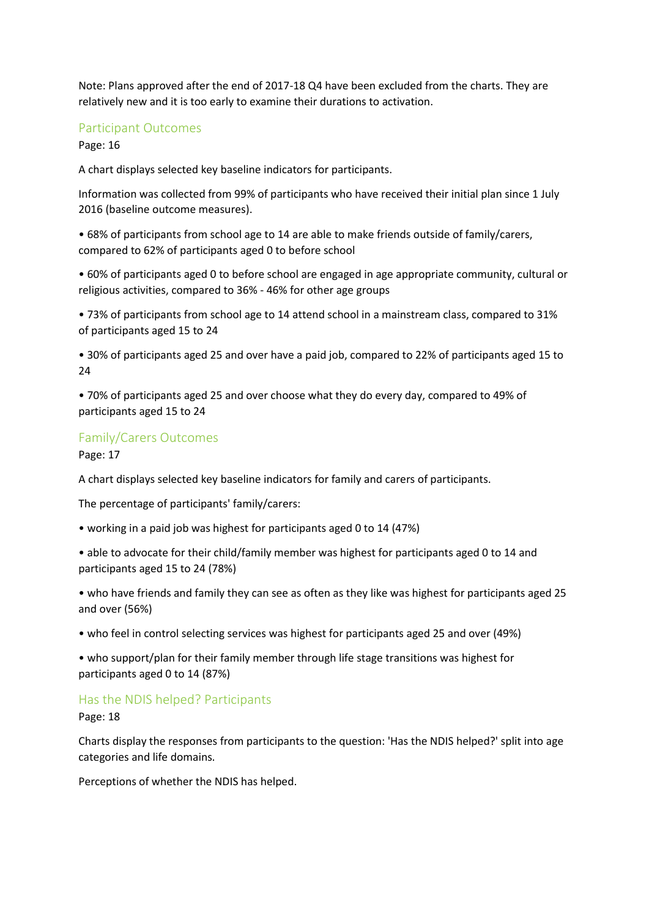Note: Plans approved after the end of 2017-18 Q4 have been excluded from the charts. They are relatively new and it is too early to examine their durations to activation.

### Participant Outcomes

Page: 16

A chart displays selected key baseline indicators for participants.

Information was collected from 99% of participants who have received their initial plan since 1 July 2016 (baseline outcome measures).

• 68% of participants from school age to 14 are able to make friends outside of family/carers, compared to 62% of participants aged 0 to before school

• 60% of participants aged 0 to before school are engaged in age appropriate community, cultural or religious activities, compared to 36% - 46% for other age groups

• 73% of participants from school age to 14 attend school in a mainstream class, compared to 31% of participants aged 15 to 24

• 30% of participants aged 25 and over have a paid job, compared to 22% of participants aged 15 to 24

• 70% of participants aged 25 and over choose what they do every day, compared to 49% of participants aged 15 to 24

### Family/Carers Outcomes

Page: 17

A chart displays selected key baseline indicators for family and carers of participants.

The percentage of participants' family/carers:

• working in a paid job was highest for participants aged 0 to 14 (47%)

• able to advocate for their child/family member was highest for participants aged 0 to 14 and participants aged 15 to 24 (78%)

• who have friends and family they can see as often as they like was highest for participants aged 25 and over (56%)

• who feel in control selecting services was highest for participants aged 25 and over (49%)

• who support/plan for their family member through life stage transitions was highest for participants aged 0 to 14 (87%)

## Has the NDIS helped? Participants

Page: 18

Charts display the responses from participants to the question: 'Has the NDIS helped?' split into age categories and life domains.

Perceptions of whether the NDIS has helped.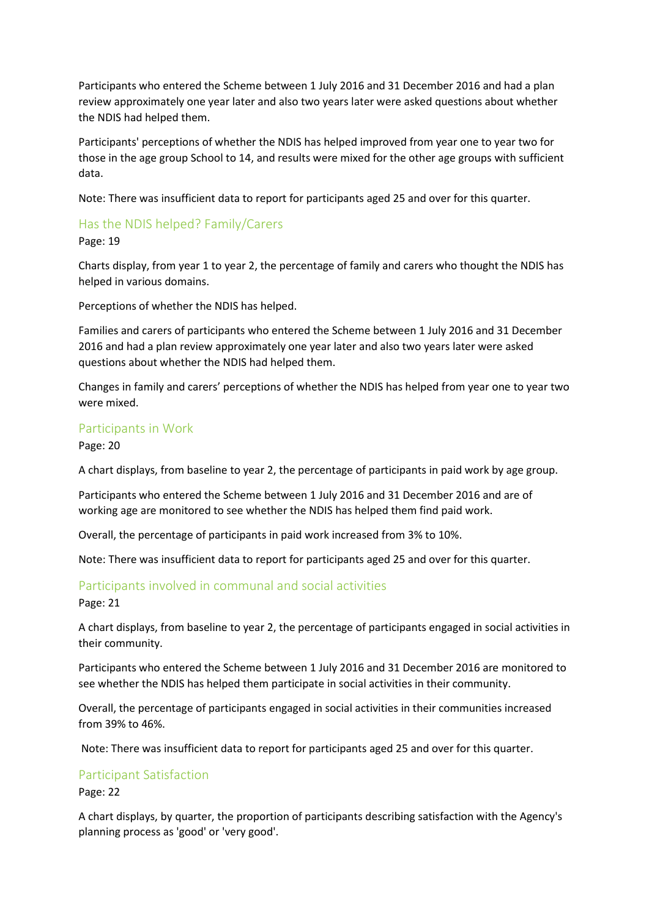Participants who entered the Scheme between 1 July 2016 and 31 December 2016 and had a plan review approximately one year later and also two years later were asked questions about whether the NDIS had helped them.

Participants' perceptions of whether the NDIS has helped improved from year one to year two for those in the age group School to 14, and results were mixed for the other age groups with sufficient data.

Note: There was insufficient data to report for participants aged 25 and over for this quarter.

# Has the NDIS helped? Family/Carers

Page: 19

Charts display, from year 1 to year 2, the percentage of family and carers who thought the NDIS has helped in various domains.

Perceptions of whether the NDIS has helped.

Families and carers of participants who entered the Scheme between 1 July 2016 and 31 December 2016 and had a plan review approximately one year later and also two years later were asked questions about whether the NDIS had helped them.

Changes in family and carers' perceptions of whether the NDIS has helped from year one to year two were mixed.

## Participants in Work

Page: 20

A chart displays, from baseline to year 2, the percentage of participants in paid work by age group.

Participants who entered the Scheme between 1 July 2016 and 31 December 2016 and are of working age are monitored to see whether the NDIS has helped them find paid work.

Overall, the percentage of participants in paid work increased from 3% to 10%.

Note: There was insufficient data to report for participants aged 25 and over for this quarter.

## Participants involved in communal and social activities

Page: 21

A chart displays, from baseline to year 2, the percentage of participants engaged in social activities in their community.

Participants who entered the Scheme between 1 July 2016 and 31 December 2016 are monitored to see whether the NDIS has helped them participate in social activities in their community.

Overall, the percentage of participants engaged in social activities in their communities increased from 39% to 46%.

Note: There was insufficient data to report for participants aged 25 and over for this quarter.

## Participant Satisfaction

Page: 22

A chart displays, by quarter, the proportion of participants describing satisfaction with the Agency's planning process as 'good' or 'very good'.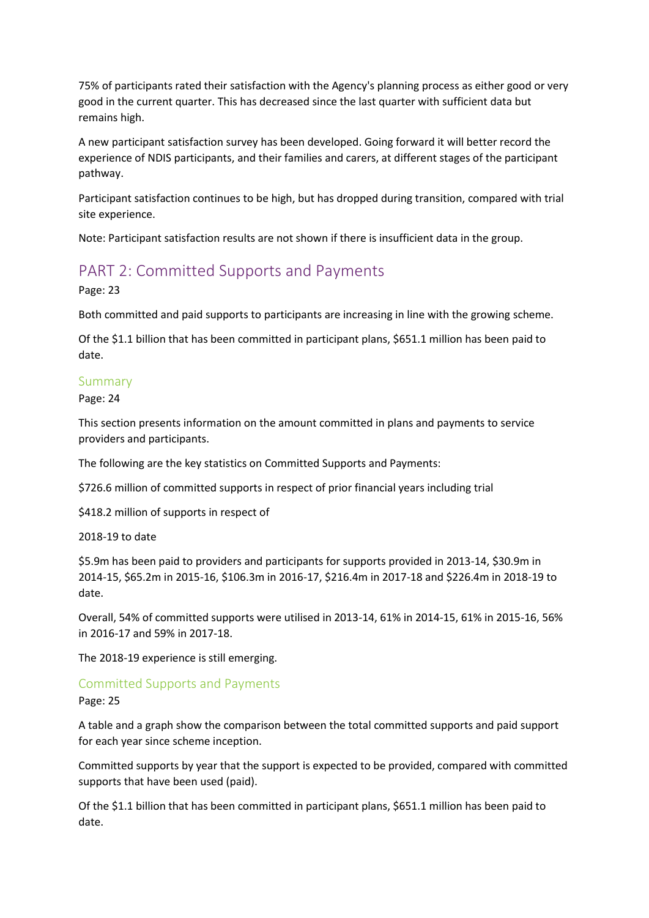75% of participants rated their satisfaction with the Agency's planning process as either good or very good in the current quarter. This has decreased since the last quarter with sufficient data but remains high.

A new participant satisfaction survey has been developed. Going forward it will better record the experience of NDIS participants, and their families and carers, at different stages of the participant pathway.

Participant satisfaction continues to be high, but has dropped during transition, compared with trial site experience.

Note: Participant satisfaction results are not shown if there is insufficient data in the group.

# PART 2: Committed Supports and Payments

Page: 23

Both committed and paid supports to participants are increasing in line with the growing scheme.

Of the \$1.1 billion that has been committed in participant plans, \$651.1 million has been paid to date.

### Summary

Page: 24

This section presents information on the amount committed in plans and payments to service providers and participants.

The following are the key statistics on Committed Supports and Payments:

\$726.6 million of committed supports in respect of prior financial years including trial

\$418.2 million of supports in respect of

2018-19 to date

\$5.9m has been paid to providers and participants for supports provided in 2013-14, \$30.9m in 2014-15, \$65.2m in 2015-16, \$106.3m in 2016-17, \$216.4m in 2017-18 and \$226.4m in 2018-19 to date.

Overall, 54% of committed supports were utilised in 2013-14, 61% in 2014-15, 61% in 2015-16, 56% in 2016-17 and 59% in 2017-18.

The 2018-19 experience is still emerging.

## Committed Supports and Payments

Page: 25

A table and a graph show the comparison between the total committed supports and paid support for each year since scheme inception.

Committed supports by year that the support is expected to be provided, compared with committed supports that have been used (paid).

Of the \$1.1 billion that has been committed in participant plans, \$651.1 million has been paid to date.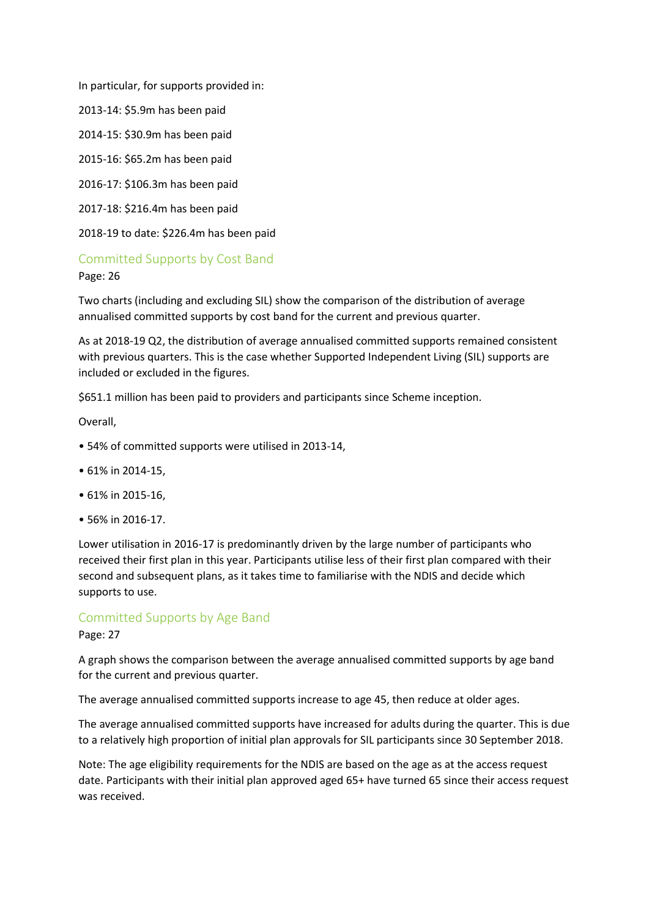In particular, for supports provided in:

2013-14: \$5.9m has been paid

2014-15: \$30.9m has been paid

2015-16: \$65.2m has been paid

2016-17: \$106.3m has been paid

2017-18: \$216.4m has been paid

2018-19 to date: \$226.4m has been paid

## Committed Supports by Cost Band

Page: 26

Two charts (including and excluding SIL) show the comparison of the distribution of average annualised committed supports by cost band for the current and previous quarter.

As at 2018-19 Q2, the distribution of average annualised committed supports remained consistent with previous quarters. This is the case whether Supported Independent Living (SIL) supports are included or excluded in the figures.

\$651.1 million has been paid to providers and participants since Scheme inception.

Overall,

- 54% of committed supports were utilised in 2013-14,
- 61% in 2014-15,
- 61% in 2015-16,
- 56% in 2016-17.

Lower utilisation in 2016-17 is predominantly driven by the large number of participants who received their first plan in this year. Participants utilise less of their first plan compared with their second and subsequent plans, as it takes time to familiarise with the NDIS and decide which supports to use.

## Committed Supports by Age Band

Page: 27

A graph shows the comparison between the average annualised committed supports by age band for the current and previous quarter.

The average annualised committed supports increase to age 45, then reduce at older ages.

The average annualised committed supports have increased for adults during the quarter. This is due to a relatively high proportion of initial plan approvals for SIL participants since 30 September 2018.

Note: The age eligibility requirements for the NDIS are based on the age as at the access request date. Participants with their initial plan approved aged 65+ have turned 65 since their access request was received.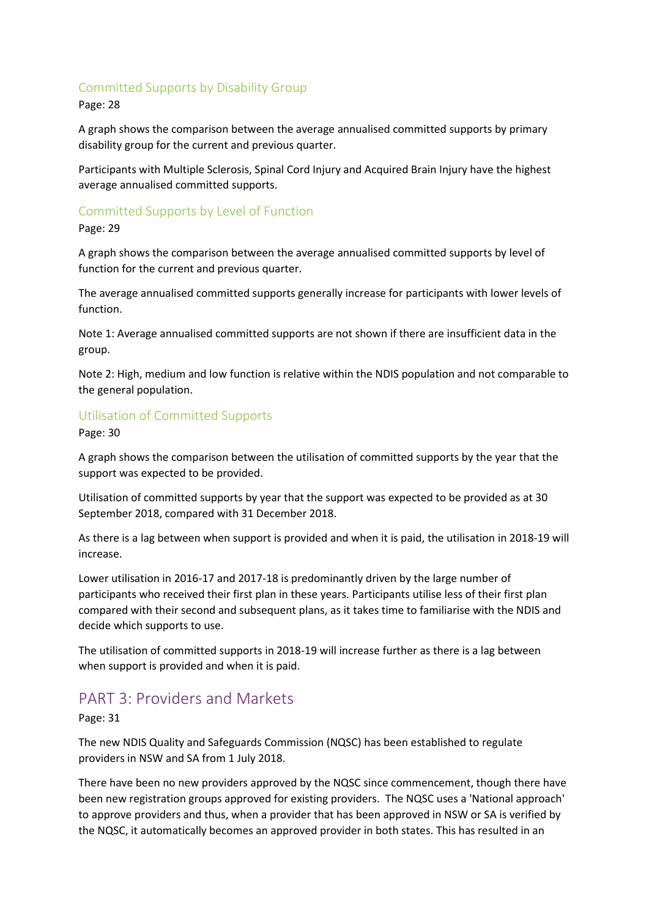## Committed Supports by Disability Group

Page: 28

A graph shows the comparison between the average annualised committed supports by primary disability group for the current and previous quarter.

Participants with Multiple Sclerosis, Spinal Cord Injury and Acquired Brain Injury have the highest average annualised committed supports.

## Committed Supports by Level of Function

Page: 29

A graph shows the comparison between the average annualised committed supports by level of function for the current and previous quarter.

The average annualised committed supports generally increase for participants with lower levels of function.

Note 1: Average annualised committed supports are not shown if there are insufficient data in the group.

Note 2: High, medium and low function is relative within the NDIS population and not comparable to the general population.

## Utilisation of Committed Supports

Page: 30

A graph shows the comparison between the utilisation of committed supports by the year that the support was expected to be provided.

Utilisation of committed supports by year that the support was expected to be provided as at 30 September 2018, compared with 31 December 2018.

As there is a lag between when support is provided and when it is paid, the utilisation in 2018-19 will increase.

Lower utilisation in 2016-17 and 2017-18 is predominantly driven by the large number of participants who received their first plan in these years. Participants utilise less of their first plan compared with their second and subsequent plans, as it takes time to familiarise with the NDIS and decide which supports to use.

The utilisation of committed supports in 2018-19 will increase further as there is a lag between when support is provided and when it is paid.

# PART 3: Providers and Markets

Page: 31

The new NDIS Quality and Safeguards Commission (NQSC) has been established to regulate providers in NSW and SA from 1 July 2018.

There have been no new providers approved by the NQSC since commencement, though there have been new registration groups approved for existing providers. The NQSC uses a 'National approach' to approve providers and thus, when a provider that has been approved in NSW or SA is verified by the NQSC, it automatically becomes an approved provider in both states. This has resulted in an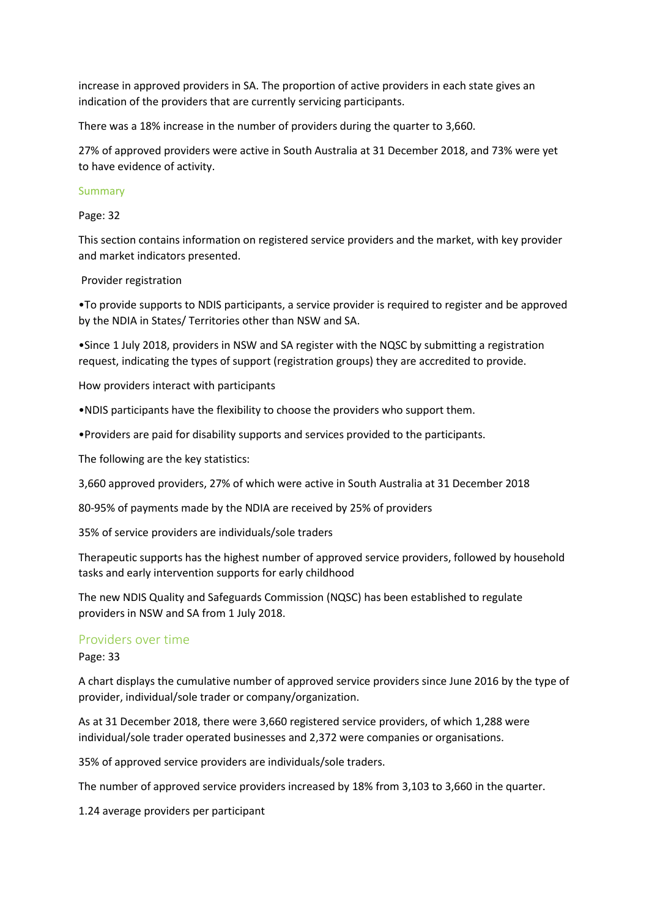increase in approved providers in SA. The proportion of active providers in each state gives an indication of the providers that are currently servicing participants.

There was a 18% increase in the number of providers during the quarter to 3,660.

27% of approved providers were active in South Australia at 31 December 2018, and 73% were yet to have evidence of activity.

#### Summary

Page: 32

This section contains information on registered service providers and the market, with key provider and market indicators presented.

#### Provider registration

•To provide supports to NDIS participants, a service provider is required to register and be approved by the NDIA in States/ Territories other than NSW and SA.

•Since 1 July 2018, providers in NSW and SA register with the NQSC by submitting a registration request, indicating the types of support (registration groups) they are accredited to provide.

How providers interact with participants

•NDIS participants have the flexibility to choose the providers who support them.

•Providers are paid for disability supports and services provided to the participants.

The following are the key statistics:

3,660 approved providers, 27% of which were active in South Australia at 31 December 2018

80-95% of payments made by the NDIA are received by 25% of providers

35% of service providers are individuals/sole traders

Therapeutic supports has the highest number of approved service providers, followed by household tasks and early intervention supports for early childhood

The new NDIS Quality and Safeguards Commission (NQSC) has been established to regulate providers in NSW and SA from 1 July 2018.

#### Providers over time

Page: 33

A chart displays the cumulative number of approved service providers since June 2016 by the type of provider, individual/sole trader or company/organization.

As at 31 December 2018, there were 3,660 registered service providers, of which 1,288 were individual/sole trader operated businesses and 2,372 were companies or organisations.

35% of approved service providers are individuals/sole traders.

The number of approved service providers increased by 18% from 3,103 to 3,660 in the quarter.

1.24 average providers per participant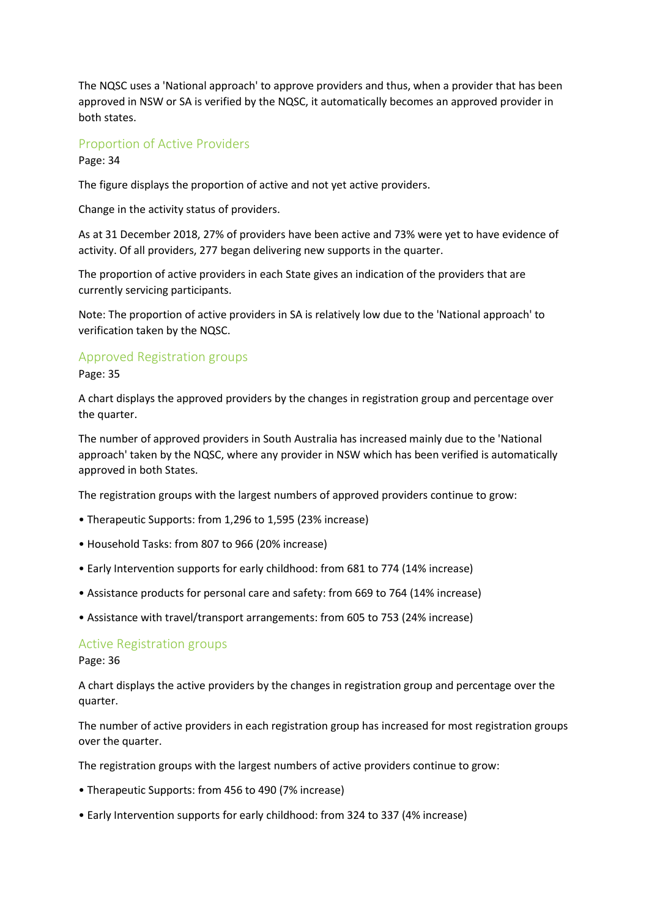The NQSC uses a 'National approach' to approve providers and thus, when a provider that has been approved in NSW or SA is verified by the NQSC, it automatically becomes an approved provider in both states.

### Proportion of Active Providers

Page: 34

The figure displays the proportion of active and not yet active providers.

Change in the activity status of providers.

As at 31 December 2018, 27% of providers have been active and 73% were yet to have evidence of activity. Of all providers, 277 began delivering new supports in the quarter.

The proportion of active providers in each State gives an indication of the providers that are currently servicing participants.

Note: The proportion of active providers in SA is relatively low due to the 'National approach' to verification taken by the NQSC.

#### Approved Registration groups

Page: 35

A chart displays the approved providers by the changes in registration group and percentage over the quarter.

The number of approved providers in South Australia has increased mainly due to the 'National approach' taken by the NQSC, where any provider in NSW which has been verified is automatically approved in both States.

The registration groups with the largest numbers of approved providers continue to grow:

- Therapeutic Supports: from 1,296 to 1,595 (23% increase)
- Household Tasks: from 807 to 966 (20% increase)
- Early Intervention supports for early childhood: from 681 to 774 (14% increase)
- Assistance products for personal care and safety: from 669 to 764 (14% increase)
- Assistance with travel/transport arrangements: from 605 to 753 (24% increase)

#### Active Registration groups

Page: 36

A chart displays the active providers by the changes in registration group and percentage over the quarter.

The number of active providers in each registration group has increased for most registration groups over the quarter.

The registration groups with the largest numbers of active providers continue to grow:

- Therapeutic Supports: from 456 to 490 (7% increase)
- Early Intervention supports for early childhood: from 324 to 337 (4% increase)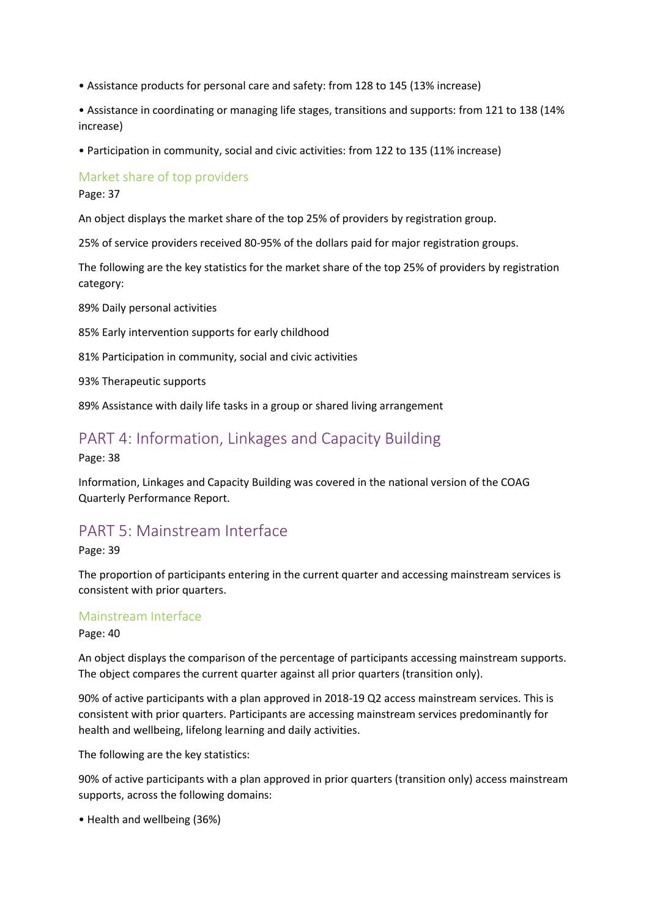- Assistance products for personal care and safety: from 128 to 145 (13% increase)
- Assistance in coordinating or managing life stages, transitions and supports: from 121 to 138 (14% increase)
- Participation in community, social and civic activities: from 122 to 135 (11% increase)

Market share of top providers

Page: 37

An object displays the market share of the top 25% of providers by registration group.

25% of service providers received 80-95% of the dollars paid for major registration groups.

The following are the key statistics for the market share of the top 25% of providers by registration category:

89% Daily personal activities

85% Early intervention supports for early childhood

81% Participation in community, social and civic activities

93% Therapeutic supports

89% Assistance with daily life tasks in a group or shared living arrangement

## PART 4: Information, Linkages and Capacity Building

Page: 38

Information, Linkages and Capacity Building was covered in the national version of the COAG Quarterly Performance Report.

## PART 5: Mainstream Interface

Page: 39

The proportion of participants entering in the current quarter and accessing mainstream services is consistent with prior quarters.

### Mainstream Interface

Page: 40

An object displays the comparison of the percentage of participants accessing mainstream supports. The object compares the current quarter against all prior quarters (transition only).

90% of active participants with a plan approved in 2018-19 Q2 access mainstream services. This is consistent with prior quarters. Participants are accessing mainstream services predominantly for health and wellbeing, lifelong learning and daily activities.

The following are the key statistics:

90% of active participants with a plan approved in prior quarters (transition only) access mainstream supports, across the following domains:

• Health and wellbeing (36%)